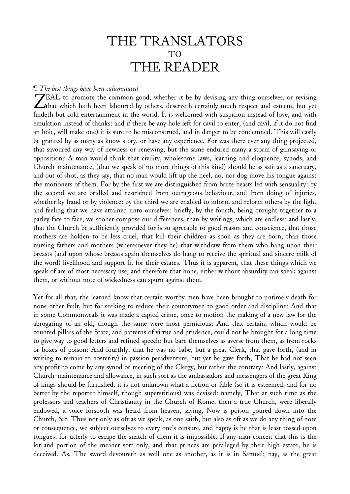# THE TRANSLATORS TO THE READER

# ¶ *The best things have been calumniated*

ZEAL to promote the common good, whether it be by devising any thing ourselves, or revising <br>
Ithat which hath been laboured by others, deserveth certainly much respect and esteem, but yet that which hath been laboured by others, deserveth certainly much respect and esteem, but yet findeth but cold entertainment in the world. It is welcomed with suspicion instead of love, and with emulation instead of thanks: and if there be any hole left for cavil to enter, (and cavil, if it do not find an hole, will make one) it is sure to be misconstrued, and in danger to be condemned. This will easily be granted by as many as know story, or have any experience. For was there ever any thing projected, that savoured any way of newness or renewing, but the same endured many a storm of gainsaying or opposition? A man would think that civility, wholesome laws, learning and eloquence, synods, and Church-maintenance, (that we speak of no more things of this kind) should be as safe as a sanctuary, and out of shot, as they say, that no man would lift up the heel, no, nor dog move his tongue against the motioners of them. For by the first we are distinguished from brute beasts led with sensuality: by the second we are bridled and restrained from outrageous behaviour, and from doing of injuries, whether by fraud or by violence: by the third we are enabled to inform and reform others by the light and feeling that we have attained unto ourselves: briefly, by the fourth, being brought together to a parley face to face, we sooner compose our differences, than by writings, which are endless: and lastly, that the Church be sufficiently provided for is so agreeable to good reason and conscience, that those mothers are holden to be less cruel, that kill their children as soon as they are born, than those nursing fathers and mothers (wheresoever they be) that withdraw from them who hang upon their breasts (and upon whose breasts again themselves do hang to receive the spiritual and sincere milk of the word) livelihood and support fit for their estates. Thus it is apparent, that these things which we speak of are of most necessary use, and therefore that none, either without absurdity can speak against them, or without note of wickedness can spurn against them.

Yet for all that, the learned know that certain worthy men have been brought to untimely death for none other fault, but for seeking to reduce their countrymen to good order and discipline: And that in some Commonweals it was made a capital crime, once to motion the making of a new law for the abrogating of an old, though the same were most pernicious: And that certain, which would be counted pillars of the State, and patterns of virtue and prudence, could not be brought for a long time to give way to good letters and refined speech; but bare themselves as averse from them, as from rocks or boxes of poison: And fourthly, that he was no babe, but a great Clerk, that gave forth, (and in writing to remain to posterity) in passion peradventure, but yet he gave forth, That he had not seen any profit to come by any synod or meeting of the Clergy, but rather the contrary: And lastly, against Church-maintenance and allowance, in such sort as the ambassadors and messengers of the great King of kings should be furnished, it is not unknown what a fiction or fable (so it is esteemed, and for no better by the reporter himself, though superstitious) was devised: namely, That at such time as the professors and teachers of Christianity in the Church of Rome, then a true Church, were liberally endowed, a voice forsooth was heard from heaven, saying, Now is poison poured down into the Church, &c. Thus not only as oft as we speak, as one saith, but also as oft as we do any thing of note or consequence, we subject ourselves to every one's censure, and happy is he that is least tossed upon tongues; for utterly to escape the snatch of them it is impossible. If any man conceit that this is the lot and portion of the meaner sort only, and that princes are privileged by their high estate, he is deceived. As, The sword devoureth as well one as another, as it is in Samuel; nay, as the great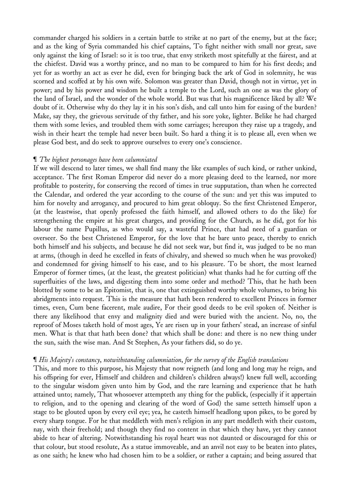commander charged his soldiers in a certain battle to strike at no part of the enemy, but at the face; and as the king of Syria commanded his chief captains, To fight neither with small nor great, save only against the king of Israel: so it is too true, that envy striketh most spitefully at the fairest, and at the chiefest. David was a worthy prince, and no man to be compared to him for his first deeds; and yet for as worthy an act as ever he did, even for bringing back the ark of God in solemnity, he was scorned and scoffed at by his own wife. Solomon was greater than David, though not in virtue, yet in power; and by his power and wisdom he built a temple to the Lord, such an one as was the glory of the land of Israel, and the wonder of the whole world. But was that his magnificence liked by all? We doubt of it. Otherwise why do they lay it in his son's dish, and call unto him for easing of the burden? Make, say they, the grievous servitude of thy father, and his sore yoke, lighter. Belike he had charged them with some levies, and troubled them with some carriages; hereupon they raise up a tragedy, and wish in their heart the temple had never been built. So hard a thing it is to please all, even when we please God best, and do seek to approve ourselves to every one's conscience.

# ¶ *The highest personages have been calumniated*

If we will descend to later times, we shall find many the like examples of such kind, or rather unkind, acceptance. The first Roman Emperor did never do a more pleasing deed to the learned, nor more profitable to posterity, for conserving the record of times in true supputation, than when he corrected the Calendar, and ordered the year according to the course of the sun: and yet this was imputed to him for novelty and arrogancy, and procured to him great obloquy. So the first Christened Emperor, (at the leastwise, that openly professed the faith himself, and allowed others to do the like) for strengthening the empire at his great charges, and providing for the Church, as he did, got for his labour the name Pupillus, as who would say, a wasteful Prince, that had need of a guardian or overseer. So the best Christened Emperor, for the love that he bare unto peace, thereby to enrich both himself and his subjects, and because he did not seek war, but find it, was judged to be no man at arms, (though in deed he excelled in feats of chivalry, and shewed so much when he was provoked) and condemned for giving himself to his ease, and to his pleasure. To be short, the most learned Emperor of former times, (at the least, the greatest politician) what thanks had he for cutting off the superfluities of the laws, and digesting them into some order and method? This, that he hath been blotted by some to be an Epitomist, that is, one that extinguished worthy whole volumes, to bring his abridgments into request. This is the measure that hath been rendered to excellent Princes in former times, even, Cum bene facerent, male audire, For their good deeds to be evil spoken of. Neither is there any likelihood that envy and malignity died and were buried with the ancient. No, no, the reproof of Moses taketh hold of most ages, Ye are risen up in your fathers' stead, an increase of sinful men. What is that that hath been done? that which shall be done: and there is no new thing under the sun, saith the wise man. And St Stephen, As your fathers did, so do ye.

# ¶ *His Majesty*'*s constancy*, *notwithstanding calumniation*, *for the survey of the English translations*

This, and more to this purpose, his Majesty that now reigneth (and long and long may he reign, and his offspring for ever, Himself and children and children's children always!) knew full well, according to the singular wisdom given unto him by God, and the rare learning and experience that he hath attained unto; namely, That whosoever attempteth any thing for the publick, (especially if it appertain to religion, and to the opening and clearing of the word of God) the same setteth himself upon a stage to be glouted upon by every evil eye; yea, he casteth himself headlong upon pikes, to be gored by every sharp tongue. For he that meddleth with men's religion in any part meddleth with their custom, nay, with their freehold; and though they find no content in that which they have, yet they cannot abide to hear of altering. Notwithstanding his royal heart was not daunted or discouraged for this or that colour, but stood resolute, As a statue immoveable, and an anvil not easy to be beaten into plates, as one saith; he knew who had chosen him to be a soldier, or rather a captain; and being assured that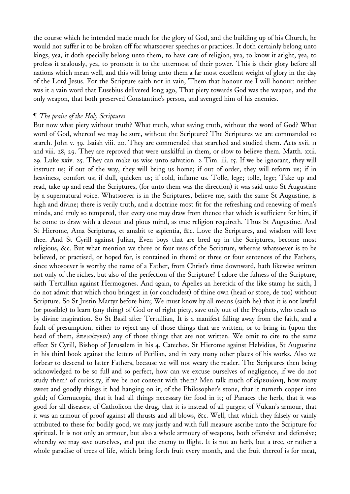the course which he intended made much for the glory of God, and the building up of his Church, he would not suffer it to be broken off for whatsoever speeches or practices. It doth certainly belong unto kings, yea, it doth specially belong unto them, to have care of religion, yea, to know it aright, yea, to profess it zealously, yea, to promote it to the uttermost of their power. This is their glory before all nations which mean well, and this will bring unto them a far most excellent weight of glory in the day of the Lord Jesus. For the Scripture saith not in vain, Them that honour me I will honour: neither was it a vain word that Eusebius delivered long ago, That piety towards God was the weapon, and the only weapon, that both preserved Constantine's person, and avenged him of his enemies.

#### ¶ *The praise of the Holy Scriptures*

But now what piety without truth? What truth, what saving truth, without the word of God? What word of God, whereof we may be sure, without the Scripture? The Scriptures we are commanded to search. John v. 39. Isaiah viii. 20. They are commended that searched and studied them. Acts xvii. 11 and viii. 28, 29. They are reproved that were unskilful in them, or slow to believe them. Matth. xxii. 29. Luke xxiv. 25. They can make us wise unto salvation. 2 Tim. iii. 15. If we be ignorant, they will instruct us; if out of the way, they will bring us home; if out of order, they will reform us; if in heaviness, comfort us; if dull, quicken us; if cold, inflame us. Tolle, lege; tolle, lege; Take up and read, take up and read the Scriptures, (for unto them was the direction) it was said unto St Augustine by a supernatural voice. Whatsoever is in the Scriptures, believe me, saith the same St Augustine, is high and divine; there is verily truth, and a doctrine most fit for the refreshing and renewing of men's minds, and truly so tempered, that every one may draw from thence that which is sufficient for him, if he come to draw with a devout and pious mind, as true religion requireth. Thus St Augustine. And St Hierome, Ama Scripturas, et amabit te sapientia, &c. Love the Scriptures, and wisdom will love thee. And St Cyrill against Julian, Even boys that are bred up in the Scriptures, become most religious, &c. But what mention we three or four uses of the Scripture, whereas whatsoever is to be believed, or practised, or hoped for, is contained in them? or three or four sentences of the Fathers, since whosoever is worthy the name of a Father, from Christ's time downward, hath likewise written not only of the riches, but also of the perfection of the Scripture? I adore the fulness of the Scripture, saith Tertullian against Hermogenes. And again, to Apelles an heretick of the like stamp he saith, I do not admit that which thou bringest in (or concludest) of thine own (head or store, de tuo) without Scripture. So St Justin Martyr before him; We must know by all means (saith he) that it is not lawful (or possible) to learn (any thing) of God or of right piety, save only out of the Prophets, who teach us by divine inspiration. So St Basil after Tertullian, It is a manifest falling away from the faith, and a fault of presumption, either to reject any of those things that are written, or to bring in (upon the head of them, ἐπεισάγειν) any of those things that are not written. We omit to cite to the same effect St Cyrill, Bishop of Jerusalem in his 4. Cateches. St Hierome against Helvidius, St Augustine in his third book against the letters of Petilian, and in very many other places of his works. Also we forbear to descend to latter Fathers, because we will not weary the reader. The Scriptures then being acknowledged to be so full and so perfect, how can we excuse ourselves of negligence, if we do not study them? of curiosity, if we be not content with them? Men talk much of εἰρεσιώνη, how many sweet and goodly things it had hanging on it; of the Philosopher's stone, that it turneth copper into gold; of Cornucopia, that it had all things necessary for food in it; of Panaces the herb, that it was good for all diseases; of Catholicon the drug, that it is instead of all purges; of Vulcan's armour, that it was an armour of proof against all thrusts and all blows, &c. Well, that which they falsely or vainly attributed to these for bodily good, we may justly and with full measure ascribe unto the Scripture for spiritual. It is not only an armour, but also a whole armoury of weapons, both offensive and defensive; whereby we may save ourselves, and put the enemy to flight. It is not an herb, but a tree, or rather a whole paradise of trees of life, which bring forth fruit every month, and the fruit thereof is for meat,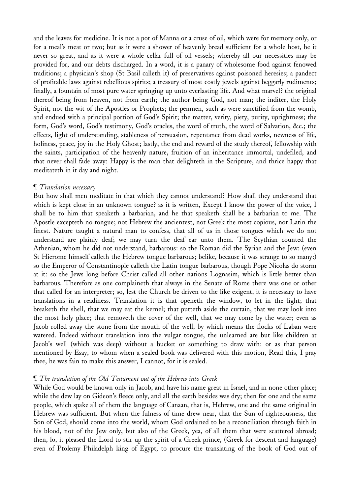and the leaves for medicine. It is not a pot of Manna or a cruse of oil, which were for memory only, or for a meal's meat or two; but as it were a shower of heavenly bread sufficient for a whole host, be it never so great, and as it were a whole cellar full of oil vessels; whereby all our necessities may be provided for, and our debts discharged. In a word, it is a panary of wholesome food against fenowed traditions; a physician's shop (St Basil calleth it) of preservatives against poisoned heresies; a pandect of profitable laws against rebellious spirits; a treasury of most costly jewels against beggarly rudiments; finally, a fountain of most pure water springing up unto everlasting life. And what marvel? the original thereof being from heaven, not from earth; the author being God, not man; the inditer, the Holy Spirit, not the wit of the Apostles or Prophets; the penmen, such as were sanctified from the womb, and endued with a principal portion of God's Spirit; the matter, verity, piety, purity, uprightness; the form, God's word, God's testimony, God's oracles, the word of truth, the word of Salvation, &c.; the effects, light of understanding, stableness of persuasion, repentance from dead works, newness of life, holiness, peace, joy in the Holy Ghost; lastly, the end and reward of the study thereof, fellowship with the saints, participation of the heavenly nature, fruition of an inheritance immortal, undefiled, and that never shall fade away: Happy is the man that delighteth in the Scripture, and thrice happy that meditateth in it day and night.

# ¶ *Translation necessary*

But how shall men meditate in that which they cannot understand? How shall they understand that which is kept close in an unknown tongue? as it is written, Except I know the power of the voice, I shall be to him that speaketh a barbarian, and he that speaketh shall be a barbarian to me. The Apostle excepteth no tongue; not Hebrew the ancientest, not Greek the most copious, not Latin the finest. Nature taught a natural man to confess, that all of us in those tongues which we do not understand are plainly deaf; we may turn the deaf ear unto them. The Scythian counted the Athenian, whom he did not understand, barbarous: so the Roman did the Syrian and the Jew: (even St Hierome himself calleth the Hebrew tongue barbarous; belike, because it was strange to so many:) so the Emperor of Constantinople calleth the Latin tongue barbarous, though Pope Nicolas do storm at it: so the Jews long before Christ called all other nations Lognasim, which is little better than barbarous. Therefore as one complaineth that always in the Senate of Rome there was one or other that called for an interpreter; so, lest the Church be driven to the like exigent, it is necessary to have translations in a readiness. Translation it is that openeth the window, to let in the light; that breaketh the shell, that we may eat the kernel; that putteth aside the curtain, that we may look into the most holy place; that removeth the cover of the well, that we may come by the water; even as Jacob rolled away the stone from the mouth of the well, by which means the flocks of Laban were watered. Indeed without translation into the vulgar tongue, the unlearned are but like children at Jacob's well (which was deep) without a bucket or something to draw with: or as that person mentioned by Esay, to whom when a sealed book was delivered with this motion, Read this, I pray thee, he was fain to make this answer, I cannot, for it is sealed.

# ¶ *The translation of the Old Testament out of the Hebrew into Greek*

While God would be known only in Jacob, and have his name great in Israel, and in none other place; while the dew lay on Gideon's fleece only, and all the earth besides was dry; then for one and the same people, which spake all of them the language of Canaan, that is, Hebrew, one and the same original in Hebrew was sufficient. But when the fulness of time drew near, that the Sun of righteousness, the Son of God, should come into the world, whom God ordained to be a reconciliation through faith in his blood, not of the Jew only, but also of the Greek, yea, of all them that were scattered abroad; then, lo, it pleased the Lord to stir up the spirit of a Greek prince, (Greek for descent and language) even of Ptolemy Philadelph king of Egypt, to procure the translating of the book of God out of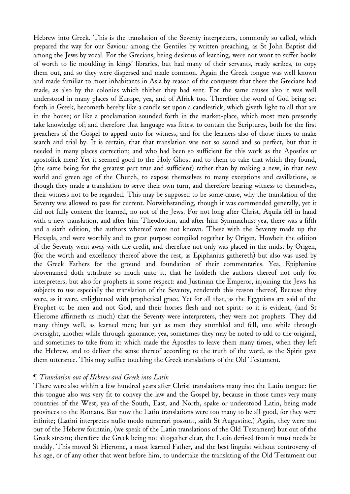Hebrew into Greek. This is the translation of the Seventy interpreters, commonly so called, which prepared the way for our Saviour among the Gentiles by written preaching, as St John Baptist did among the Jews by vocal. For the Grecians, being desirous of learning, were not wont to suffer books of worth to lie moulding in kings' libraries, but had many of their servants, ready scribes, to copy them out, and so they were dispersed and made common. Again the Greek tongue was well known and made familiar to most inhabitants in Asia by reason of the conquests that there the Grecians had made, as also by the colonies which thither they had sent. For the same causes also it was well understood in many places of Europe, yea, and of Africk too. Therefore the word of God being set forth in Greek, becometh hereby like a candle set upon a candlestick, which giveth light to all that are in the house; or like a proclamation sounded forth in the market-place, which most men presently take knowledge of; and therefore that language was fittest to contain the Scriptures, both for the first preachers of the Gospel to appeal unto for witness, and for the learners also of those times to make search and trial by. It is certain, that that translation was not so sound and so perfect, but that it needed in many places correction; and who had been so sufficient for this work as the Apostles or apostolick men? Yet it seemed good to the Holy Ghost and to them to take that which they found, (the same being for the greatest part true and sufficient) rather than by making a new, in that new world and green age of the Church, to expose themselves to many exceptions and cavillations, as though they made a translation to serve their own turn, and therefore bearing witness to themselves, their witness not to be regarded. This may be supposed to be some cause, why the translation of the Seventy was allowed to pass for current. Notwithstanding, though it was commended generally, yet it did not fully content the learned, no not of the Jews. For not long after Christ, Aquila fell in hand with a new translation, and after him Theodotion, and after him Symmachus: yea, there was a fifth and a sixth edition, the authors whereof were not known. These with the Seventy made up the Hexapla, and were worthily and to great purpose compiled together by Origen. Howbeit the edition of the Seventy went away with the credit, and therefore not only was placed in the midst by Origen, (for the worth and excellency thereof above the rest, as Epiphanius gathereth) but also was used by the Greek Fathers for the ground and foundation of their commentaries. Yea, Epiphanius abovenamed doth attribute so much unto it, that he holdeth the authors thereof not only for interpreters, but also for prophets in some respect: and Justinian the Emperor, injoining the Jews his subjects to use especially the translation of the Seventy, rendereth this reason thereof, Because they were, as it were, enlightened with prophetical grace. Yet for all that, as the Egyptians are said of the Prophet to be men and not God, and their horses flesh and not spirit: so it is evident, (and St Hierome affirmeth as much) that the Seventy were interpreters, they were not prophets. They did many things well, as learned men; but yet as men they stumbled and fell, one while through oversight, another while through ignorance; yea, sometimes they may be noted to add to the original, and sometimes to take from it: which made the Apostles to leave them many times, when they left the Hebrew, and to deliver the sense thereof according to the truth of the word, as the Spirit gave them utterance. This may suffice touching the Greek translations of the Old Testament.

#### ¶ *Translation out of Hebrew and Greek into Latin*

There were also within a few hundred years after Christ translations many into the Latin tongue: for this tongue also was very fit to convey the law and the Gospel by, because in those times very many countries of the West, yea of the South, East, and North, spake or understood Latin, being made provinces to the Romans. But now the Latin translations were too many to be all good, for they were infinite; (Latini interpretes nullo modo numerari possunt, saith St Augustine.) Again, they were not out of the Hebrew fountain, (we speak of the Latin translations of the Old Testament) but out of the Greek stream; therefore the Greek being not altogether clear, the Latin derived from it must needs be muddy. This moved St Hierome, a most learned Father, and the best linguist without controversy of his age, or of any other that went before him, to undertake the translating of the Old Testament out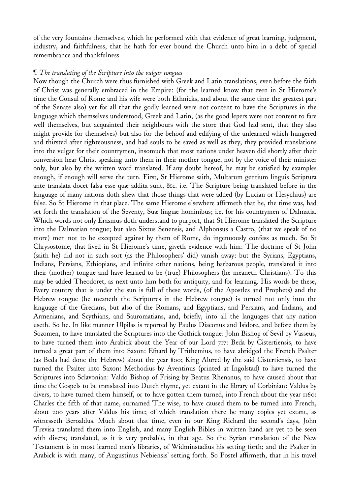of the very fountains themselves; which he performed with that evidence of great learning, judgment, industry, and faithfulness, that he hath for ever bound the Church unto him in a debt of special remembrance and thankfulness.

#### ¶ *The translating of the Scripture into the vulgar tongues*

Now though the Church were thus furnished with Greek and Latin translations, even before the faith of Christ was generally embraced in the Empire: (for the learned know that even in St Hierome's time the Consul of Rome and his wife were both Ethnicks, and about the same time the greatest part of the Senate also) yet for all that the godly learned were not content to have the Scriptures in the language which themselves understood, Greek and Latin, (as the good lepers were not content to fare well themselves, but acquainted their neighbours with the store that God had sent, that they also might provide for themselves) but also for the behoof and edifying of the unlearned which hungered and thirsted after righteousness, and had souls to be saved as well as they, they provided translations into the vulgar for their countrymen, insomuch that most nations under heaven did shortly after their conversion hear Christ speaking unto them in their mother tongue, not by the voice of their minister only, but also by the written word translated. If any doubt hereof, he may be satisfied by examples enough, if enough will serve the turn. First, St Hierome saith, Multarum gentium linguis Scriptura ante translata docet falsa esse quæ addita sunt, &c. i.e. The Scripture being translated before in the language of many nations doth shew that those things that were added (by Lucian or Hesychius) are false. So St Hierome in that place. The same Hierome elsewhere affirmeth that he, the time was, had set forth the translation of the Seventy, Suæ linguæ hominibus; i.e. for his countrymen of Dalmatia. Which words not only Erasmus doth understand to purport, that St Hierome translated the Scripture into the Dalmatian tongue; but also Sixtus Senensis, and Alphonsus a Castro, (that we speak of no more) men not to be excepted against by them of Rome, do ingenuously confess as much. So St Chrysostome, that lived in St Hierome's time, giveth evidence with him: The doctrine of St John (saith he) did not in such sort (as the Philosophers' did) vanish away: but the Syrians, Egyptians, Indians, Persians, Ethiopians, and infinite other nations, being barbarous people, translated it into their (mother) tongue and have learned to be (true) Philosophers (he meaneth Christians). To this may be added Theodoret, as next unto him both for antiquity, and for learning. His words be these, Every country that is under the sun is full of these words, (of the Apostles and Prophets) and the Hebrew tongue (he meaneth the Scriptures in the Hebrew tongue) is turned not only into the language of the Grecians, but also of the Romans, and Egyptians, and Persians, and Indians, and Armenians, and Scythians, and Sauromatians, and, briefly, into all the languages that any nation useth. So he. In like manner Ulpilas is reported by Paulus Diaconus and Isidore, and before them by Sozomen, to have translated the Scriptures into the Gothick tongue: John Bishop of Sevil by Vasseus, to have turned them into Arabick about the Year of our Lord 717: Beda by Cistertiensis, to have turned a great part of them into Saxon: Efnard by Trithemius, to have abridged the French Psalter (as Beda had done the Hebrew) about the year 800; King Alured by the said Cistertiensis, to have turned the Psalter into Saxon: Methodius by Aventinus (printed at Ingolstad) to have turned the Scriptures into Sclavonian: Valdo Bishop of Frising by Beatus Rhenanus, to have caused about that time the Gospels to be translated into Dutch rhyme, yet extant in the library of Corbinian: Valdus by divers, to have turned them himself, or to have gotten them turned, into French about the year 1160: Charles the fifth of that name, surnamed The wise, to have caused them to be turned into French, about 200 years after Valdus his time; of which translation there be many copies yet extant, as witnesseth Beroaldus. Much about that time, even in our King Richard the second's days, John Trevisa translated them into English, and many English Bibles in written hand are yet to be seen with divers; translated, as it is very probable, in that age. So the Syrian translation of the New Testament is in most learned men's libraries, of Widminstadius his setting forth; and the Psalter in Arabick is with many, of Augustinus Nebiensis' setting forth. So Postel affirmeth, that in his travel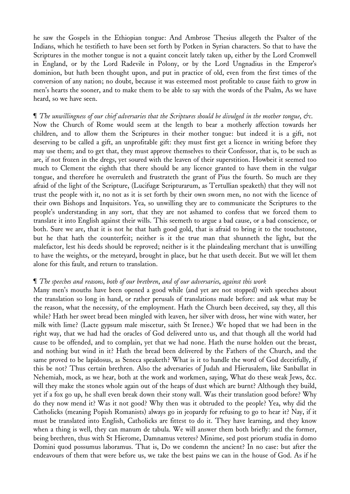he saw the Gospels in the Ethiopian tongue: And Ambrose Thesius allegeth the Psalter of the Indians, which he testifieth to have been set forth by Potken in Syrian characters. So that to have the Scriptures in the mother tongue is not a quaint conceit lately taken up, either by the Lord Cromwell in England, or by the Lord Radevile in Polony, or by the Lord Ungnadius in the Emperor's dominion, but hath been thought upon, and put in practice of old, even from the first times of the conversion of any nation; no doubt, because it was esteemed most profitable to cause faith to grow in men's hearts the sooner, and to make them to be able to say with the words of the Psalm, As we have heard, so we have seen.

# If The unwillingness of our chief adversaries that the Scriptures should be divulged in the mother tongue, &c. Now the Church of Rome would seem at the length to bear a motherly affection towards her children, and to allow them the Scriptures in their mother tongue: but indeed it is a gift, not deserving to be called a gift, an unprofitable gift: they must first get a licence in writing before they may use them; and to get that, they must approve themselves to their Confessor, that is, to be such as are, if not frozen in the dregs, yet soured with the leaven of their superstition. Howbeit it seemed too much to Clement the eighth that there should be any licence granted to have them in the vulgar tongue, and therefore he overruleth and frustrateth the grant of Pius the fourth. So much are they afraid of the light of the Scripture, (Lucifugæ Scripturarum, as Tertullian speaketh) that they will not trust the people with it, no not as it is set forth by their own sworn men, no not with the licence of their own Bishops and Inquisitors. Yea, so unwilling they are to communicate the Scriptures to the people's understanding in any sort, that they are not ashamed to confess that we forced them to translate it into English against their wills. This seemeth to argue a bad cause, or a bad conscience, or both. Sure we are, that it is not he that hath good gold, that is afraid to bring it to the touchstone, but he that hath the counterfeit; neither is it the true man that shunneth the light, but the malefactor, lest his deeds should be reproved; neither is it the plaindealing merchant that is unwilling to have the weights, or the meteyard, brought in place, but he that useth deceit. But we will let them alone for this fault, and return to translation.

#### ¶ *The speeches and reasons*, *both of our brethren*, *and of our adversaries*, *against this work*

Many men's mouths have been opened a good while (and yet are not stopped) with speeches about the translation so long in hand, or rather perusals of translations made before: and ask what may be the reason, what the necessity, of the employment. Hath the Church been deceived, say they, all this while? Hath her sweet bread been mingled with leaven, her silver with dross, her wine with water, her milk with lime? (Lacte gypsum male miscetur, saith St Irenee.) We hoped that we had been in the right way, that we had had the oracles of God delivered unto us, and that though all the world had cause to be offended, and to complain, yet that we had none. Hath the nurse holden out the breast, and nothing but wind in it? Hath the bread been delivered by the Fathers of the Church, and the same proved to be lapidosus, as Seneca speaketh? What is it to handle the word of God deceitfully, if this be not? Thus certain brethren. Also the adversaries of Judah and Hierusalem, like Sanballat in Nehemiah, mock, as we hear, both at the work and workmen, saying, What do these weak Jews, &c. will they make the stones whole again out of the heaps of dust which are burnt? Although they build, yet if a fox go up, he shall even break down their stony wall. Was their translation good before? Why do they now mend it? Was it not good? Why then was it obtruded to the people? Yea, why did the Catholicks (meaning Popish Romanists) always go in jeopardy for refusing to go to hear it? Nay, if it must be translated into English, Catholicks are fittest to do it. They have learning, and they know when a thing is well, they can manum de tabula. We will answer them both briefly: and the former, being brethren, thus with St Hierome, Damnamus veteres? Minime, sed post priorum studia in domo Domini quod possumus laboramus. That is, Do we condemn the ancient? In no case: but after the endeavours of them that were before us, we take the best pains we can in the house of God. As if he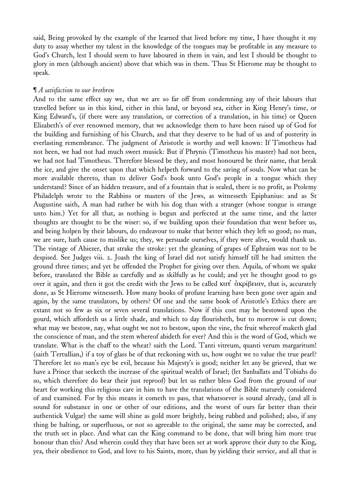said, Being provoked by the example of the learned that lived before my time, I have thought it my duty to assay whether my talent in the knowledge of the tongues may be profitable in any measure to God's Church, lest I should seem to have laboured in them in vain, and lest I should be thought to glory in men (although ancient) above that which was in them. Thus St Hierome may be thought to speak.

#### ¶ *A satisfaction to our brethren*

And to the same effect say we, that we are so far off from condemning any of their labours that travelled before us in this kind, either in this land, or beyond sea, either in King Henry's time, or King Edward's, (if there were any translation, or correction of a translation, in his time) or Queen Elizabeth's of ever renowned memory, that we acknowledge them to have been raised up of God for the building and furnishing of his Church, and that they deserve to be had of us and of posterity in everlasting remembrance. The judgment of Aristotle is worthy and well known: If Timotheus had not been, we had not had much sweet musick: But if Phrynis (Timotheus his master) had not been, we had not had Timotheus. Therefore blessed be they, and most honoured be their name, that break the ice, and give the onset upon that which helpeth forward to the saving of souls. Now what can be more available thereto, than to deliver God's book unto God's people in a tongue which they understand? Since of an hidden treasure, and of a fountain that is sealed, there is no profit, as Ptolemy Philadelph wrote to the Rabbins or masters of the Jews, as witnesseth Epiphanius: and as St Augustine saith, A man had rather be with his dog than with a stranger (whose tongue is strange unto him.) Yet for all that, as nothing is begun and perfected at the same time, and the latter thoughts are thought to be the wiser: so, if we building upon their foundation that went before us, and being holpen by their labours, do endeavour to make that better which they left so good; no man, we are sure, hath cause to mislike us; they, we persuade ourselves, if they were alive, would thank us. The vintage of Abiezer, that strake the stroke: yet the gleaning of grapes of Ephraim was not to be despised. See Judges viii. 2. Joash the king of Israel did not satisfy himself till he had smitten the ground three times; and yet he offended the Prophet for giving over then. Aquila, of whom we spake before, translated the Bible as carefully and as skilfully as he could; and yet he thought good to go over it again, and then it got the credit with the Jews to be called κατ<sup>3</sup> άκρίβειαν, that is, accurately done, as St Hierome witnesseth. How many books of profane learning have been gone over again and again, by the same translators, by others? Of one and the same book of Aristotle's Ethics there are extant not so few as six or seven several translations. Now if this cost may be bestowed upon the gourd, which affordeth us a little shade, and which to day flourisheth, but to morrow is cut down; what may we bestow, nay, what ought we not to bestow, upon the vine, the fruit whereof maketh glad the conscience of man, and the stem whereof abideth for ever? And this is the word of God, which we translate. What is the chaff to the wheat? saith the Lord. Tanti vitreum, quanti verum margaritum! (saith Tertullian,) if a toy of glass be of that reckoning with us, how ought we to value the true pearl? Therefore let no man's eye be evil, because his Majesty's is good; neither let any be grieved, that we have a Prince that seeketh the increase of the spiritual wealth of Israel; (let Sanballats and Tobiahs do so, which therefore do bear their just reproof) but let us rather bless God from the ground of our heart for working this religious care in him to have the translations of the Bible maturely considered of and examined. For by this means it cometh to pass, that whatsoever is sound already, (and all is sound for substance in one or other of our editions, and the worst of ours far better than their authentick Vulgar) the same will shine as gold more brightly, being rubbed and polished; also, if any thing be halting, or superfluous, or not so agreeable to the original, the same may be corrected, and the truth set in place. And what can the King command to be done, that will bring him more true honour than this? And wherein could they that have been set at work approve their duty to the King, yea, their obedience to God, and love to his Saints, more, than by yielding their service, and all that is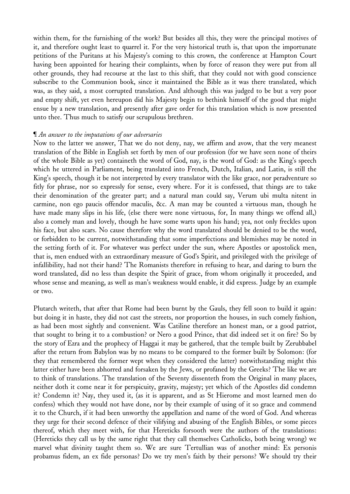within them, for the furnishing of the work? But besides all this, they were the principal motives of it, and therefore ought least to quarrel it. For the very historical truth is, that upon the importunate petitions of the Puritans at his Majesty's coming to this crown, the conference at Hampton Court having been appointed for hearing their complaints, when by force of reason they were put from all other grounds, they had recourse at the last to this shift, that they could not with good conscience subscribe to the Communion book, since it maintained the Bible as it was there translated, which was, as they said, a most corrupted translation. And although this was judged to be but a very poor and empty shift, yet even hereupon did his Majesty begin to bethink himself of the good that might ensue by a new translation, and presently after gave order for this translation which is now presented unto thee. Thus much to satisfy our scrupulous brethren.

# ¶ *An answer to the imputations of our adversaries*

Now to the latter we answer, That we do not deny, nay, we affirm and avow, that the very meanest translation of the Bible in English set forth by men of our profession (for we have seen none of theirs of the whole Bible as yet) containeth the word of God, nay, is the word of God: as the King's speech which he uttered in Parliament, being translated into French, Dutch, Italian, and Latin, is still the King's speech, though it be not interpreted by every translator with the like grace, nor peradventure so fitly for phrase, nor so expressly for sense, every where. For it is confessed, that things are to take their denomination of the greater part; and a natural man could say, Verum ubi multa nitent in carmine, non ego paucis offendor maculis, &c. A man may be counted a virtuous man, though he have made many slips in his life, (else there were none virtuous, for, In many things we offend all,) also a comely man and lovely, though he have some warts upon his hand; yea, not only freckles upon his face, but also scars. No cause therefore why the word translated should be denied to be the word, or forbidden to be current, notwithstanding that some imperfections and blemishes may be noted in the setting forth of it. For whatever was perfect under the sun, where Apostles or apostolick men, that is, men endued with an extraordinary measure of God's Spirit, and privileged with the privilege of infallibility, had not their hand? The Romanists therefore in refusing to hear, and daring to burn the word translated, did no less than despite the Spirit of grace, from whom originally it proceeded, and whose sense and meaning, as well as man's weakness would enable, it did express. Judge by an example or two.

Plutarch writeth, that after that Rome had been burnt by the Gauls, they fell soon to build it again: but doing it in haste, they did not cast the streets, nor proportion the houses, in such comely fashion, as had been most sightly and convenient. Was Catiline therefore an honest man, or a good patriot, that sought to bring it to a combustion? or Nero a good Prince, that did indeed set it on fire? So by the story of Ezra and the prophecy of Haggai it may be gathered, that the temple built by Zerubbabel after the return from Babylon was by no means to be compared to the former built by Solomon: (for they that remembered the former wept when they considered the latter) notwithstanding might this latter either have been abhorred and forsaken by the Jews, or profaned by the Greeks? The like we are to think of translations. The translation of the Seventy dissenteth from the Original in many places, neither doth it come near it for perspicuity, gravity, majesty; yet which of the Apostles did condemn it? Condemn it? Nay, they used it, (as it is apparent, and as St Hierome and most learned men do confess) which they would not have done, nor by their example of using of it so grace and commend it to the Church, if it had been unworthy the appellation and name of the word of God. And whereas they urge for their second defence of their vilifying and abusing of the English Bibles, or some pieces thereof, which they meet with, for that Hereticks forsooth were the authors of the translations: (Hereticks they call us by the same right that they call themselves Catholicks, both being wrong) we marvel what divinity taught them so. We are sure Tertullian was of another mind: Ex personis probamus fidem, an ex fide personas? Do we try men's faith by their persons? We should try their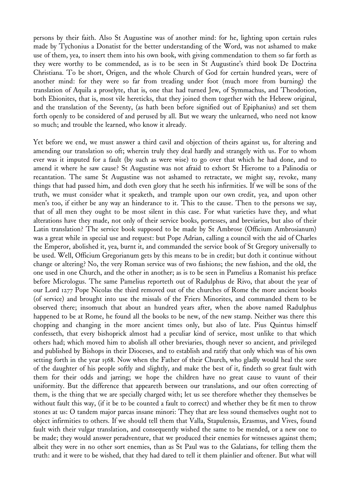persons by their faith. Also St Augustine was of another mind: for he, lighting upon certain rules made by Tychonius a Donatist for the better understanding of the Word, was not ashamed to make use of them, yea, to insert them into his own book, with giving commendation to them so far forth as they were worthy to be commended, as is to be seen in St Augustine's third book De Doctrina Christiana. To be short, Origen, and the whole Church of God for certain hundred years, were of another mind: for they were so far from treading under foot (much more from burning) the translation of Aquila a proselyte, that is, one that had turned Jew, of Symmachus, and Theodotion, both Ebionites, that is, most vile hereticks, that they joined them together with the Hebrew original, and the translation of the Seventy, (as hath been before signified out of Epiphanius) and set them forth openly to be considered of and perused by all. But we weary the unlearned, who need not know so much; and trouble the learned, who know it already.

Yet before we end, we must answer a third cavil and objection of theirs against us, for altering and amending our translation so oft; wherein truly they deal hardly and strangely with us. For to whom ever was it imputed for a fault (by such as were wise) to go over that which he had done, and to amend it where he saw cause? St Augustine was not afraid to exhort St Hierome to a Palinodia or recantation. The same St Augustine was not ashamed to retractate, we might say, revoke, many things that had passed him, and doth even glory that he seeth his infirmities. If we will be sons of the truth, we must consider what it speaketh, and trample upon our own credit, yea, and upon other men's too, if either be any way an hinderance to it. This to the cause. Then to the persons we say, that of all men they ought to be most silent in this case. For what varieties have they, and what alterations have they made, not only of their service books, portesses, and breviaries, but also of their Latin translation? The service book supposed to be made by St Ambrose (Officium Ambrosianum) was a great while in special use and request: but Pope Adrian, calling a council with the aid of Charles the Emperor, abolished it, yea, burnt it, and commanded the service book of St Gregory universally to be used. Well, Officium Gregorianum gets by this means to be in credit; but doth it continue without change or altering? No, the very Roman service was of two fashions; the new fashion, and the old, the one used in one Church, and the other in another; as is to be seen in Pamelius a Romanist his preface before Micrologus. The same Pamelius reporteth out of Radulphus de Rivo, that about the year of our Lord 1277 Pope Nicolas the third removed out of the churches of Rome the more ancient books (of service) and brought into use the missals of the Friers Minorites, and commanded them to be observed there; insomuch that about an hundred years after, when the above named Radulphus happened to be at Rome, he found all the books to be new, of the new stamp. Neither was there this chopping and changing in the more ancient times only, but also of late. Pius Quintus himself confesseth, that every bishoprick almost had a peculiar kind of service, most unlike to that which others had; which moved him to abolish all other breviaries, though never so ancient, and privileged and published by Bishops in their Dioceses, and to establish and ratify that only which was of his own setting forth in the year 1568. Now when the Father of their Church, who gladly would heal the sore of the daughter of his people softly and slightly, and make the best of it, findeth so great fault with them for their odds and jarring; we hope the children have no great cause to vaunt of their uniformity. But the difference that appeareth between our translations, and our often correcting of them, is the thing that we are specially charged with; let us see therefore whether they themselves be without fault this way, (if it be to be counted a fault to correct) and whether they be fit men to throw stones at us: O tandem major parcas insane minori: They that are less sound themselves ought not to object infirmities to others. If we should tell them that Valla, Stapulensis, Erasmus, and Vives, found fault with their vulgar translation, and consequently wished the same to be mended, or a new one to be made; they would answer peradventure, that we produced their enemies for witnesses against them; albeit they were in no other sort enemies, than as St Paul was to the Galatians, for telling them the truth: and it were to be wished, that they had dared to tell it them plainlier and oftener. But what will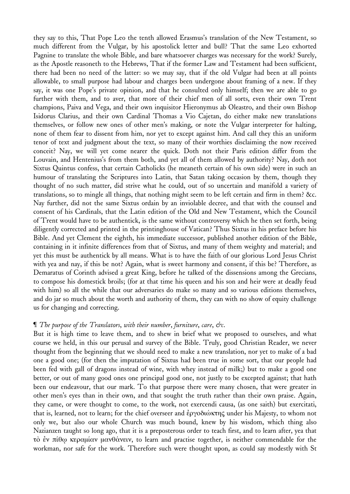they say to this, That Pope Leo the tenth allowed Erasmus's translation of the New Testament, so much different from the Vulgar, by his apostolick letter and bull? That the same Leo exhorted Pagnine to translate the whole Bible, and bare whatsoever charges was necessary for the work? Surely, as the Apostle reasoneth to the Hebrews, That if the former Law and Testament had been sufficient, there had been no need of the latter: so we may say, that if the old Vulgar had been at all points allowable, to small purpose had labour and charges been undergone about framing of a new. If they say, it was one Pope's private opinion, and that he consulted only himself; then we are able to go further with them, and to aver, that more of their chief men of all sorts, even their own Trent champions, Paiva and Vega, and their own inquisitor Hieronymus ab Oleastro, and their own Bishop Isidorus Clarius, and their own Cardinal Thomas a Vio Cajetan, do either make new translations themselves, or follow new ones of other men's making, or note the Vulgar interpreter for halting, none of them fear to dissent from him, nor yet to except against him. And call they this an uniform tenor of text and judgment about the text, so many of their worthies disclaiming the now received conceit? Nay, we will yet come nearer the quick. Doth not their Paris edition differ from the Louvain, and Hentenius's from them both, and yet all of them allowed by authority? Nay, doth not Sixtus Quintus confess, that certain Catholicks (he meaneth certain of his own side) were in such an humour of translating the Scriptures into Latin, that Satan taking occasion by them, though they thought of no such matter, did strive what he could, out of so uncertain and manifold a variety of translations, so to mingle all things, that nothing might seem to be left certain and firm in them? &c. Nay further, did not the same Sixtus ordain by an inviolable decree, and that with the counsel and consent of his Cardinals, that the Latin edition of the Old and New Testament, which the Council of Trent would have to be authentick, is the same without controversy which he then set forth, being diligently corrected and printed in the printinghouse of Vatican? Thus Sixtus in his preface before his Bible. And yet Clement the eighth, his immediate successor, published another edition of the Bible, containing in it infinite differences from that of Sixtus, and many of them weighty and material; and yet this must be authentick by all means. What is to have the faith of our glorious Lord Jesus Christ with yea and nay, if this be not? Again, what is sweet harmony and consent, if this be? Therefore, as Demaratus of Corinth advised a great King, before he talked of the dissensions among the Grecians, to compose his domestick broils; (for at that time his queen and his son and heir were at deadly feud with him) so all the while that our adversaries do make so many and so various editions themselves, and do jar so much about the worth and authority of them, they can with no show of equity challenge us for changing and correcting.

# ¶ *The purpose of the Translators*, *with their number*, *furniture*, *care*, *&c*.

But it is high time to leave them, and to shew in brief what we proposed to ourselves, and what course we held, in this our perusal and survey of the Bible. Truly, good Christian Reader, we never thought from the beginning that we should need to make a new translation, nor yet to make of a bad one a good one; (for then the imputation of Sixtus had been true in some sort, that our people had been fed with gall of dragons instead of wine, with whey instead of milk;) but to make a good one better, or out of many good ones one principal good one, not justly to be excepted against; that hath been our endeavour, that our mark. To that purpose there were many chosen, that were greater in other men's eyes than in their own, and that sought the truth rather than their own praise. Again, they came, or were thought to come, to the work, not exercendi causa, (as one saith) but exercitati, that is, learned, not to learn; for the chief overseer and ἐργοδιώκτης under his Majesty, to whom not only we, but also our whole Church was much bound, knew by his wisdom, which thing also Nazianzen taught so long ago, that it is a preposterous order to teach first, and to learn after, yea that τὸ ἐν πίθῳ κεραμίαν μανθάνειν, to learn and practise together, is neither commendable for the workman, nor safe for the work. Therefore such were thought upon, as could say modestly with St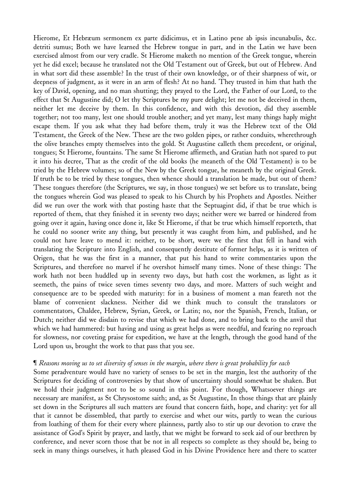Hierome, Et Hebræum sermonem ex parte didicimus, et in Latino pene ab ipsis incunabulis, &c. detriti sumus; Both we have learned the Hebrew tongue in part, and in the Latin we have been exercised almost from our very cradle. St Hierome maketh no mention of the Greek tongue, wherein yet he did excel; because he translated not the Old Testament out of Greek, but out of Hebrew. And in what sort did these assemble? In the trust of their own knowledge, or of their sharpness of wit, or deepness of judgment, as it were in an arm of flesh? At no hand. They trusted in him that hath the key of David, opening, and no man shutting; they prayed to the Lord, the Father of our Lord, to the effect that St Augustine did; O let thy Scriptures be my pure delight; let me not be deceived in them, neither let me deceive by them. In this confidence, and with this devotion, did they assemble together; not too many, lest one should trouble another; and yet many, lest many things haply might escape them. If you ask what they had before them, truly it was the Hebrew text of the Old Testament, the Greek of the New. These are the two golden pipes, or rather conduits, wherethrough the olive branches empty themselves into the gold. St Augustine calleth them precedent, or original, tongues; St Hierome, fountains. The same St Hierome affirmeth, and Gratian hath not spared to put it into his decree, That as the credit of the old books (he meaneth of the Old Testament) is to be tried by the Hebrew volumes; so of the New by the Greek tongue, he meaneth by the original Greek. If truth be to be tried by these tongues, then whence should a translation be made, but out of them? These tongues therefore (the Scriptures, we say, in those tongues) we set before us to translate, being the tongues wherein God was pleased to speak to his Church by his Prophets and Apostles. Neither did we run over the work with that posting haste that the Septuagint did, if that be true which is reported of them, that they finished it in seventy two days; neither were we barred or hindered from going over it again, having once done it, like St Hierome, if that be true which himself reporteth, that he could no sooner write any thing, but presently it was caught from him, and published, and he could not have leave to mend it: neither, to be short, were we the first that fell in hand with translating the Scripture into English, and consequently destitute of former helps, as it is written of Origen, that he was the first in a manner, that put his hand to write commentaries upon the Scriptures, and therefore no marvel if he overshot himself many times. None of these things: The work hath not been huddled up in seventy two days, but hath cost the workmen, as light as it seemeth, the pains of twice seven times seventy two days, and more. Matters of such weight and consequence are to be speeded with maturity: for in a business of moment a man feareth not the blame of convenient slackness. Neither did we think much to consult the translators or commentators, Chaldee, Hebrew, Syrian, Greek, or Latin; no, nor the Spanish, French, Italian, or Dutch; neither did we disdain to revise that which we had done, and to bring back to the anvil that which we had hammered: but having and using as great helps as were needful, and fearing no reproach for slowness, nor coveting praise for expedition, we have at the length, through the good hand of the Lord upon us, brought the work to that pass that you see.

# If Reasons moving us to set diversity of senses in the margin, where there is great probability for each

Some peradventure would have no variety of senses to be set in the margin, lest the authority of the Scriptures for deciding of controversies by that show of uncertainty should somewhat be shaken. But we hold their judgment not to be so sound in this point. For though, Whatsoever things are necessary are manifest, as St Chrysostome saith; and, as St Augustine, In those things that are plainly set down in the Scriptures all such matters are found that concern faith, hope, and charity: yet for all that it cannot be dissembled, that partly to exercise and whet our wits, partly to wean the curious from loathing of them for their every where plainness, partly also to stir up our devotion to crave the assistance of God's Spirit by prayer, and lastly, that we might be forward to seek aid of our brethren by conference, and never scorn those that be not in all respects so complete as they should be, being to seek in many things ourselves, it hath pleased God in his Divine Providence here and there to scatter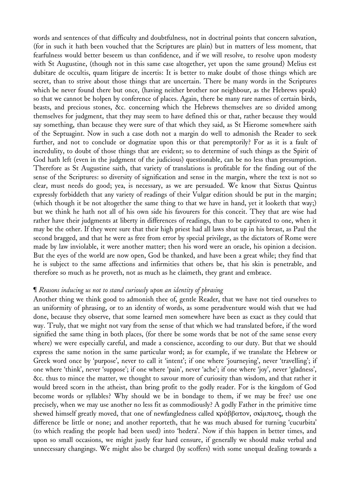words and sentences of that difficulty and doubtfulness, not in doctrinal points that concern salvation, (for in such it hath been vouched that the Scriptures are plain) but in matters of less moment, that fearfulness would better beseem us than confidence, and if we will resolve, to resolve upon modesty with St Augustine, (though not in this same case altogether, yet upon the same ground) Melius est dubitare de occultis, quam litigare de incertis: It is better to make doubt of those things which are secret, than to strive about those things that are uncertain. There be many words in the Scriptures which be never found there but once, (having neither brother nor neighbour, as the Hebrews speak) so that we cannot be holpen by conference of places. Again, there be many rare names of certain birds, beasts, and precious stones, &c. concerning which the Hebrews themselves are so divided among themselves for judgment, that they may seem to have defined this or that, rather because they would say something, than because they were sure of that which they said, as St Hierome somewhere saith of the Septuagint. Now in such a case doth not a margin do well to admonish the Reader to seek further, and not to conclude or dogmatize upon this or that peremptorily? For as it is a fault of incredulity, to doubt of those things that are evident; so to determine of such things as the Spirit of God hath left (even in the judgment of the judicious) questionable, can be no less than presumption. Therefore as St Augustine saith, that variety of translations is profitable for the finding out of the sense of the Scriptures: so diversity of signification and sense in the margin, where the text is not so clear, must needs do good; yea, is necessary, as we are persuaded. We know that Sixtus Quintus expressly forbiddeth that any variety of readings of their Vulgar edition should be put in the margin; (which though it be not altogether the same thing to that we have in hand, yet it looketh that way;) but we think he hath not all of his own side his favourers for this conceit. They that are wise had rather have their judgments at liberty in differences of readings, than to be captivated to one, when it may be the other. If they were sure that their high priest had all laws shut up in his breast, as Paul the second bragged, and that he were as free from error by special privilege, as the dictators of Rome were made by law inviolable, it were another matter; then his word were an oracle, his opinion a decision. But the eyes of the world are now open, God be thanked, and have been a great while; they find that he is subject to the same affections and infirmities that others be, that his skin is penetrable, and therefore so much as he proveth, not as much as he claimeth, they grant and embrace.

# ¶ *Reasons inducing us not to stand curiously upon an identity of phrasing*

Another thing we think good to admonish thee of, gentle Reader, that we have not tied ourselves to an uniformity of phrasing, or to an identity of words, as some peradventure would wish that we had done, because they observe, that some learned men somewhere have been as exact as they could that way. Truly, that we might not vary from the sense of that which we had translated before, if the word signified the same thing in both places, (for there be some words that be not of the same sense every where) we were especially careful, and made a conscience, according to our duty. But that we should express the same notion in the same particular word; as for example, if we translate the Hebrew or Greek word once by 'purpose', never to call it 'intent'; if one where 'journeying', never 'travelling'; if one where 'think', never 'suppose'; if one where 'pain', never 'ache'; if one where 'joy', never 'gladness', &c. thus to mince the matter, we thought to savour more of curiosity than wisdom, and that rather it would breed scorn in the atheist, than bring profit to the godly reader. For is the kingdom of God become words or syllables? Why should we be in bondage to them, if we may be free? use one precisely, when we may use another no less fit as commodiously? A godly Father in the primitive time shewed himself greatly moved, that one of newfangledness called κράββατον, σκίμπους, though the difference be little or none; and another reporteth, that he was much abused for turning 'cucurbita' (to which reading the people had been used) into 'hedera'. Now if this happen in better times, and upon so small occasions, we might justly fear hard censure, if generally we should make verbal and unnecessary changings. We might also be charged (by scoffers) with some unequal dealing towards a